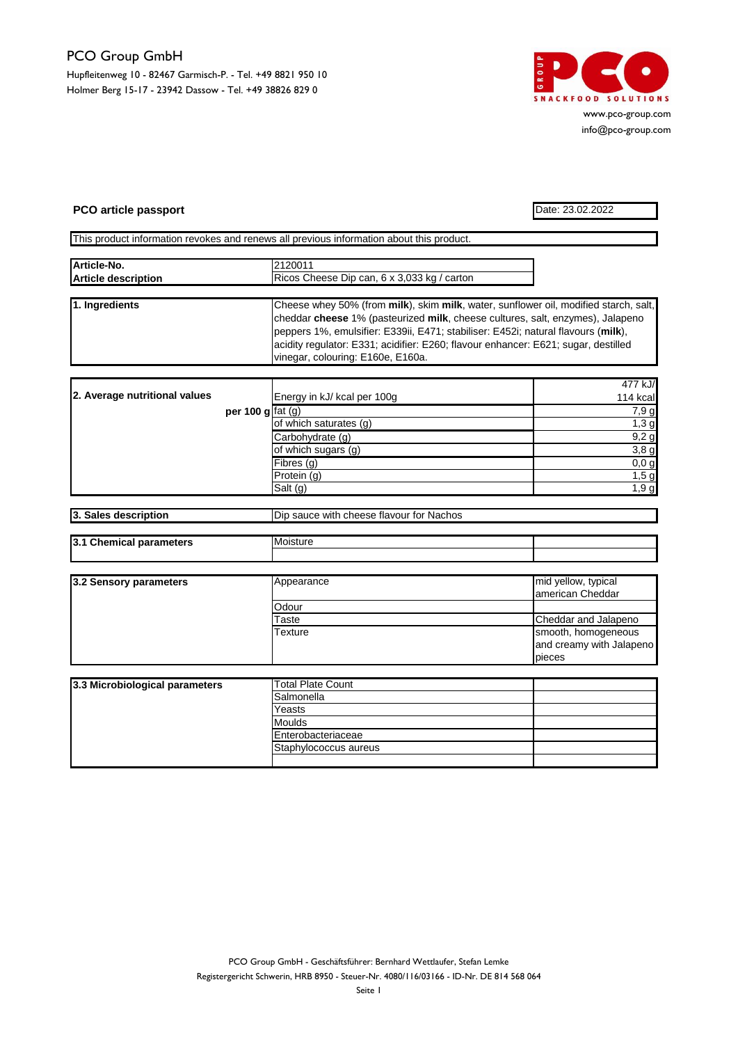## PCO Group GmbH

Hupfleitenweg 10 - 82467 Garmisch-P. - Tel. +49 8821 950 10 Holmer Berg 15-17 - 23942 Dassow - Tel. +49 38826 829 0



www.pco-group.com info@pco-group.com

## **PCO article passport** Date: 23.02.2022

This product information revokes and renews all previous information about this product.

| Article-No.                | 2120011                                     |  |
|----------------------------|---------------------------------------------|--|
| <b>Article description</b> | Ricos Cheese Dip can, 6 x 3,033 kg / carton |  |
|                            |                                             |  |

| 1. Ingredients | Cheese whey 50% (from milk), skim milk, water, sunflower oil, modified starch, salt, |
|----------------|--------------------------------------------------------------------------------------|
|                | cheddar cheese 1% (pasteurized milk, cheese cultures, salt, enzymes), Jalapeno       |
|                | peppers 1%, emulsifier: E339ii, E471; stabiliser: E452i; natural flavours (milk),    |
|                | acidity regulator: E331; acidifier: E260; flavour enhancer: E621; sugar, destilled   |
|                | vinegar, colouring: E160e, E160a.                                                    |

|                               |                    |                                           | 477 kJ/  |
|-------------------------------|--------------------|-------------------------------------------|----------|
| 2. Average nutritional values |                    | Energy in kJ/ kcal per 100g               | 114 kcal |
|                               | per 100 g $fat(q)$ |                                           | 7,9 g    |
|                               |                    | of which saturates (g)                    | 1,3g     |
|                               |                    | Carbohydrate (g)                          | 9,2g     |
|                               |                    | $\overline{\mathrm{of}}$ which sugars (g) | 3,8g     |
|                               |                    | Fibres(g)                                 | 0,0,0    |
|                               |                    | Protein (g)                               | 1,5g     |
|                               |                    | Salt (g)                                  | 1,9g     |

| <b>13. Sales description</b>     | i cheese flavour for Nachos<br>sauce with<br>l Jır |  |  |
|----------------------------------|----------------------------------------------------|--|--|
|                                  |                                                    |  |  |
| I3.1<br>Chemical<br>∣ parameters | Moisture                                           |  |  |

| 3.2 Sensory parameters | Appearance | mid yellow, typical      |
|------------------------|------------|--------------------------|
|                        |            | lamerican Cheddar        |
|                        | Odour      |                          |
|                        | Taste      | Cheddar and Jalapeno     |
|                        | Texture    | smooth, homogeneous      |
|                        |            | and creamy with Jalapeno |
|                        |            | pieces                   |

| 3.3 Microbiological parameters | Total Plate Count     |  |
|--------------------------------|-----------------------|--|
|                                | Salmonella            |  |
|                                | Yeasts                |  |
|                                | <b>Moulds</b>         |  |
|                                | Enterobacteriaceae    |  |
|                                | Staphylococcus aureus |  |
|                                |                       |  |